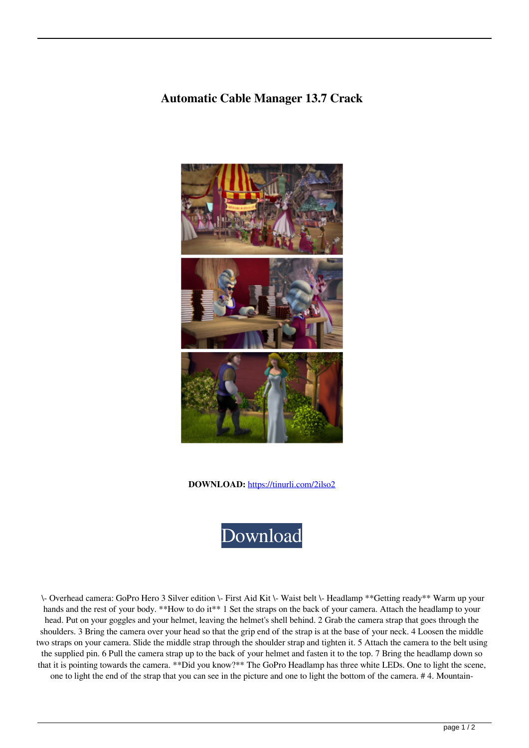## **Automatic Cable Manager 13.7 Crack**



**DOWNLOAD:** <https://tinurli.com/2ilso2>



 \- Overhead camera: GoPro Hero 3 Silver edition \- First Aid Kit \- Waist belt \- Headlamp \*\*Getting ready\*\* Warm up your hands and the rest of your body. \*\*How to do it\*\* 1 Set the straps on the back of your camera. Attach the headlamp to your head. Put on your goggles and your helmet, leaving the helmet's shell behind. 2 Grab the camera strap that goes through the shoulders. 3 Bring the camera over your head so that the grip end of the strap is at the base of your neck. 4 Loosen the middle two straps on your camera. Slide the middle strap through the shoulder strap and tighten it. 5 Attach the camera to the belt using the supplied pin. 6 Pull the camera strap up to the back of your helmet and fasten it to the top. 7 Bring the headlamp down so that it is pointing towards the camera. \*\*Did you know?\*\* The GoPro Headlamp has three white LEDs. One to light the scene, one to light the end of the strap that you can see in the picture and one to light the bottom of the camera. # 4. Mountain-